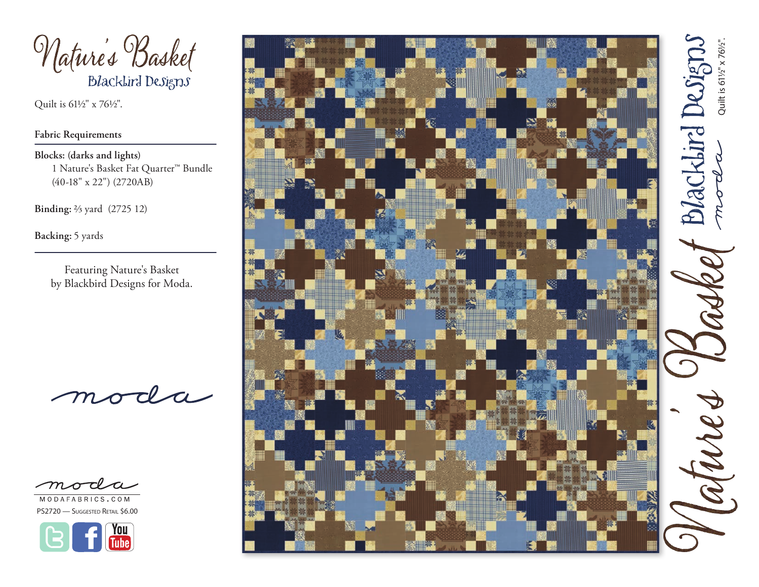

Quilt is 61½" x 76½".

## **Fabric Requirements**

**Blocks: (darks and lights)** 1 Nature's Basket Fat Quarter™ Bundle (40-18" x 22") (2720AB)

**Binding:** 2/3 yard (2725 12)

**Backing:** 5 yards

Featuring Nature's Basket by Blackbird Designs for Moda.



MODAFABRICS.COM PS2720 - Suggested Retail \$6.00



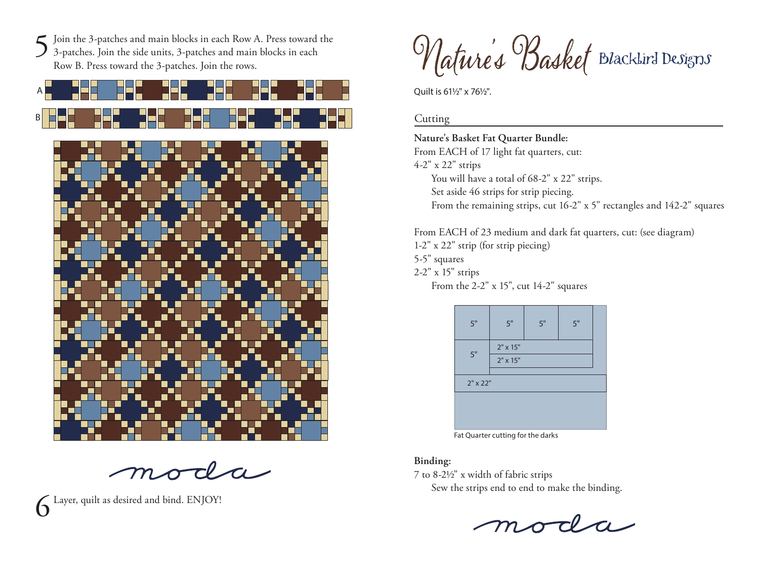Join the 3-patches and main blocks in each Row A. Press toward the 3-patches. Join the side units, 3-patches and main blocks in each Row B. Press toward the 3-patches. Join the rows.



 $d-a$ 

Layer, quilt as desired and bind. ENJOY!

Nature's Basket Blacklird Designs

Ouilt is 611/2" x 761/2".

## **Cutting**

**Nature's Basket Fat Quarter Bundle:** 

From EACH of 17 light fat quarters, cut: 4-2" x 22" strips You will have a total of 68-2" x 22" strips. Set aside 46 strips for strip piecing. From the remaining strips, cut 16-2" x 5" rectangles and 142-2" squares

From EACH of 23 medium and dark fat quarters, cut: (see diagram) 1-2" x 22" strip (for strip piecing)

5-5" squares

2-2" x 15" strips

From the 2-2" x 15", cut 14-2" squares

| 5"              | 5"       | 5" | 5" |  |
|-----------------|----------|----|----|--|
| 5"              | 2" x 15" |    |    |  |
|                 | 2" x 15" |    |    |  |
| $2" \times 22"$ |          |    |    |  |
|                 |          |    |    |  |
|                 |          |    |    |  |
|                 |          |    |    |  |

Fat Quarter cutting for the darks

## **Binding:**

7 to 8-21/2" x width of fabric strips

Sew the strips end to end to make the binding.

moda